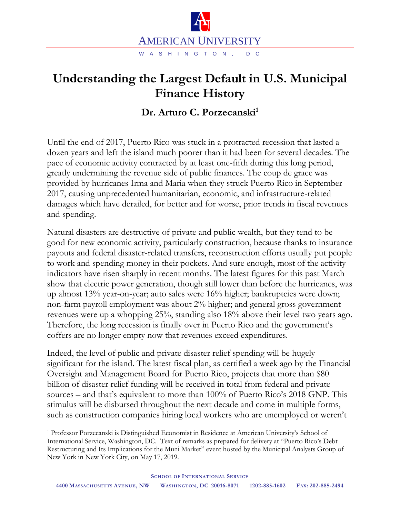

## **Understanding the Largest Default in U.S. Municipal Finance History**

## **Dr. Arturo C. Porzecanski<sup>1</sup>**

Until the end of 2017, Puerto Rico was stuck in a protracted recession that lasted a dozen years and left the island much poorer than it had been for several decades. The pace of economic activity contracted by at least one-fifth during this long period, greatly undermining the revenue side of public finances. The coup de grace was provided by hurricanes Irma and Maria when they struck Puerto Rico in September 2017, causing unprecedented humanitarian, economic, and infrastructure-related damages which have derailed, for better and for worse, prior trends in fiscal revenues and spending.

Natural disasters are destructive of private and public wealth, but they tend to be good for new economic activity, particularly construction, because thanks to insurance payouts and federal disaster-related transfers, reconstruction efforts usually put people to work and spending money in their pockets. And sure enough, most of the activity indicators have risen sharply in recent months. The latest figures for this past March show that electric power generation, though still lower than before the hurricanes, was up almost 13% year-on-year; auto sales were 16% higher; bankruptcies were down; non-farm payroll employment was about 2% higher; and general gross government revenues were up a whopping 25%, standing also 18% above their level two years ago. Therefore, the long recession is finally over in Puerto Rico and the government's coffers are no longer empty now that revenues exceed expenditures.

Indeed, the level of public and private disaster relief spending will be hugely significant for the island. The latest fiscal plan, as certified a week ago by the Financial Oversight and Management Board for Puerto Rico, projects that more than \$80 billion of disaster relief funding will be received in total from federal and private sources – and that's equivalent to more than 100% of Puerto Rico's 2018 GNP. This stimulus will be disbursed throughout the next decade and come in multiple forms, such as construction companies hiring local workers who are unemployed or weren't

 $\overline{a}$ 

<sup>1</sup> Professor Porzecanski is Distinguished Economist in Residence at American University's School of International Service, Washington, DC. Text of remarks as prepared for delivery at "Puerto Rico's Debt Restructuring and Its Implications for the Muni Market" event hosted by the Municipal Analysts Group of New York in New York City, on May 17, 2019.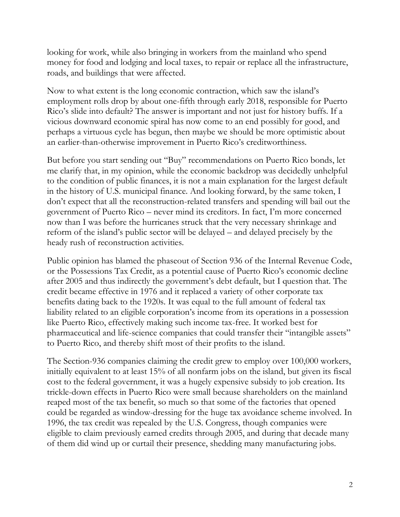looking for work, while also bringing in workers from the mainland who spend money for food and lodging and local taxes, to repair or replace all the infrastructure, roads, and buildings that were affected.

Now to what extent is the long economic contraction, which saw the island's employment rolls drop by about one-fifth through early 2018, responsible for Puerto Rico's slide into default? The answer is important and not just for history buffs. If a vicious downward economic spiral has now come to an end possibly for good, and perhaps a virtuous cycle has begun, then maybe we should be more optimistic about an earlier-than-otherwise improvement in Puerto Rico's creditworthiness.

But before you start sending out "Buy" recommendations on Puerto Rico bonds, let me clarify that, in my opinion, while the economic backdrop was decidedly unhelpful to the condition of public finances, it is not a main explanation for the largest default in the history of U.S. municipal finance. And looking forward, by the same token, I don't expect that all the reconstruction-related transfers and spending will bail out the government of Puerto Rico – never mind its creditors. In fact, I'm more concerned now than I was before the hurricanes struck that the very necessary shrinkage and reform of the island's public sector will be delayed – and delayed precisely by the heady rush of reconstruction activities.

Public opinion has blamed the phaseout of Section 936 of the Internal Revenue Code, or the Possessions Tax Credit, as a potential cause of Puerto Rico's economic decline after 2005 and thus indirectly the government's debt default, but I question that. The credit became effective in 1976 and it replaced a variety of other corporate tax benefits dating back to the 1920s. It was equal to the full amount of federal tax liability related to an eligible corporation's income from its operations in a possession like Puerto Rico, effectively making such income tax-free. It worked best for pharmaceutical and life-science companies that could transfer their "intangible assets" to Puerto Rico, and thereby shift most of their profits to the island.

The Section-936 companies claiming the credit grew to employ over 100,000 workers, initially equivalent to at least 15% of all nonfarm jobs on the island, but given its fiscal cost to the federal government, it was a hugely expensive subsidy to job creation. Its trickle-down effects in Puerto Rico were small because shareholders on the mainland reaped most of the tax benefit, so much so that some of the factories that opened could be regarded as window-dressing for the huge tax avoidance scheme involved. In 1996, the tax credit was repealed by the U.S. Congress, though companies were eligible to claim previously earned credits through 2005, and during that decade many of them did wind up or curtail their presence, shedding many manufacturing jobs.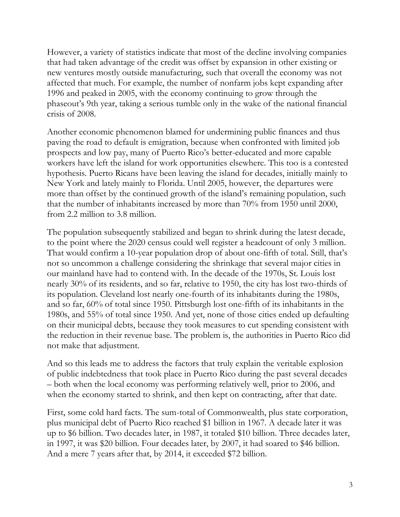However, a variety of statistics indicate that most of the decline involving companies that had taken advantage of the credit was offset by expansion in other existing or new ventures mostly outside manufacturing, such that overall the economy was not affected that much. For example, the number of nonfarm jobs kept expanding after 1996 and peaked in 2005, with the economy continuing to grow through the phaseout's 9th year, taking a serious tumble only in the wake of the national financial crisis of 2008.

Another economic phenomenon blamed for undermining public finances and thus paving the road to default is emigration, because when confronted with limited job prospects and low pay, many of Puerto Rico's better-educated and more capable workers have left the island for work opportunities elsewhere. This too is a contested hypothesis. Puerto Ricans have been leaving the island for decades, initially mainly to New York and lately mainly to Florida. Until 2005, however, the departures were more than offset by the continued growth of the island's remaining population, such that the number of inhabitants increased by more than 70% from 1950 until 2000, from 2.2 million to 3.8 million.

The population subsequently stabilized and began to shrink during the latest decade, to the point where the 2020 census could well register a headcount of only 3 million. That would confirm a 10-year population drop of about one-fifth of total. Still, that's not so uncommon a challenge considering the shrinkage that several major cities in our mainland have had to contend with. In the decade of the 1970s, St. Louis lost nearly 30% of its residents, and so far, relative to 1950, the city has lost two-thirds of its population. Cleveland lost nearly one-fourth of its inhabitants during the 1980s, and so far, 60% of total since 1950. Pittsburgh lost one-fifth of its inhabitants in the 1980s, and 55% of total since 1950. And yet, none of those cities ended up defaulting on their municipal debts, because they took measures to cut spending consistent with the reduction in their revenue base. The problem is, the authorities in Puerto Rico did not make that adjustment.

And so this leads me to address the factors that truly explain the veritable explosion of public indebtedness that took place in Puerto Rico during the past several decades – both when the local economy was performing relatively well, prior to 2006, and when the economy started to shrink, and then kept on contracting, after that date.

First, some cold hard facts. The sum-total of Commonwealth, plus state corporation, plus municipal debt of Puerto Rico reached \$1 billion in 1967. A decade later it was up to \$6 billion. Two decades later, in 1987, it totaled \$10 billion. Three decades later, in 1997, it was \$20 billion. Four decades later, by 2007, it had soared to \$46 billion. And a mere 7 years after that, by 2014, it exceeded \$72 billion.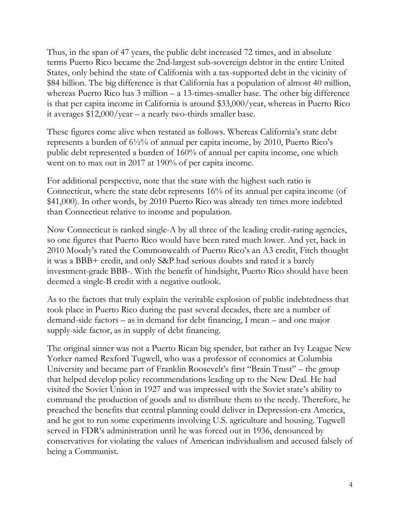Thus, in the span of 47 years, the public debt increased 72 times, and in absolute terms Puerto Rico became the 2nd-largest sub-sovereign debtor in the entire United States, only behind the state of California with a tax-supported debt in the vicinity of \$84 billion. The big difference is that California has a population of almost 40 million, whereas Puerto Rico has 3 million – a 13-times-smaller base. The other big difference is that per capita income in California is around \$33,000/year, whereas in Puerto Rico it averages \$12,000/year – a nearly two-thirds smaller base.

These figures come alive when restated as follows. Whereas California's state debt represents a burden of 6½% of annual per capita income, by 2010, Puerto Rico's public debt represented a burden of 160% of annual per capita income, one which went on to max out in 2017 at 190% of per capita income.

For additional perspective, note that the state with the highest such ratio is Connecticut, where the state debt represents 16% of its annual per capita income (of \$41,000). In other words, by 2010 Puerto Rico was already ten times more indebted than Connecticut relative to income and population.

Now Connecticut is ranked single-A by all three of the leading credit-rating agencies, so one figures that Puerto Rico would have been rated much lower. And yet, back in 2010 Moody's rated the Commonwealth of Puerto Rico's an A3 credit, Fitch thought it was a BBB+ credit, and only S&P had serious doubts and rated it a barely investment-grade BBB-. With the benefit of hindsight, Puerto Rico should have been deemed a single-B credit with a negative outlook.

As to the factors that truly explain the veritable explosion of public indebtedness that took place in Puerto Rico during the past several decades, there are a number of demand-side factors – as in demand for debt financing, I mean – and one major supply-side factor, as in supply of debt financing.

The original sinner was not a Puerto Rican big spender, but rather an Ivy League New Yorker named Rexford Tugwell, who was a professor of economics at Columbia University and became part of Franklin Roosevelt's first "Brain Trust" – the group that helped develop policy recommendations leading up to the New Deal. He had visited the Soviet Union in 1927 and was impressed with the Soviet state's ability to command the production of goods and to distribute them to the needy. Therefore, he preached the benefits that central planning could deliver in Depression-era America, and he got to run some experiments involving U.S. agriculture and housing. Tugwell served in FDR's administration until he was forced out in 1936, denounced by conservatives for violating the values of American individualism and accused falsely of being a Communist.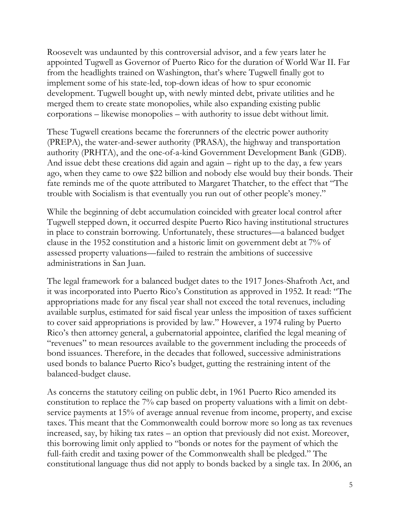Roosevelt was undaunted by this controversial advisor, and a few years later he appointed Tugwell as Governor of Puerto Rico for the duration of World War II. Far from the headlights trained on Washington, that's where Tugwell finally got to implement some of his state-led, top-down ideas of how to spur economic development. Tugwell bought up, with newly minted debt, private utilities and he merged them to create state monopolies, while also expanding existing public corporations – likewise monopolies – with authority to issue debt without limit.

These Tugwell creations became the forerunners of the electric power authority (PREPA), the water-and-sewer authority (PRASA), the highway and transportation authority (PRHTA), and the one-of-a-kind Government Development Bank (GDB). And issue debt these creations did again and again – right up to the day, a few years ago, when they came to owe \$22 billion and nobody else would buy their bonds. Their fate reminds me of the quote attributed to Margaret Thatcher, to the effect that "The trouble with Socialism is that eventually you run out of other people's money."

While the beginning of debt accumulation coincided with greater local control after Tugwell stepped down, it occurred despite Puerto Rico having institutional structures in place to constrain borrowing. Unfortunately, these structures—a balanced budget clause in the 1952 constitution and a historic limit on government debt at 7% of assessed property valuations—failed to restrain the ambitions of successive administrations in San Juan.

The legal framework for a balanced budget dates to the 1917 Jones-Shafroth Act, and it was incorporated into Puerto Rico's Constitution as approved in 1952. It read: "The appropriations made for any fiscal year shall not exceed the total revenues, including available surplus, estimated for said fiscal year unless the imposition of taxes sufficient to cover said appropriations is provided by law." However, a 1974 ruling by Puerto Rico's then attorney general, a gubernatorial appointee, clarified the legal meaning of "revenues" to mean resources available to the government including the proceeds of bond issuances. Therefore, in the decades that followed, successive administrations used bonds to balance Puerto Rico's budget, gutting the restraining intent of the balanced-budget clause.

As concerns the statutory ceiling on public debt, in 1961 Puerto Rico amended its constitution to replace the 7% cap based on property valuations with a limit on debtservice payments at 15% of average annual revenue from income, property, and excise taxes. This meant that the Commonwealth could borrow more so long as tax revenues increased, say, by hiking tax rates – an option that previously did not exist. Moreover, this borrowing limit only applied to "bonds or notes for the payment of which the full-faith credit and taxing power of the Commonwealth shall be pledged." The constitutional language thus did not apply to bonds backed by a single tax. In 2006, an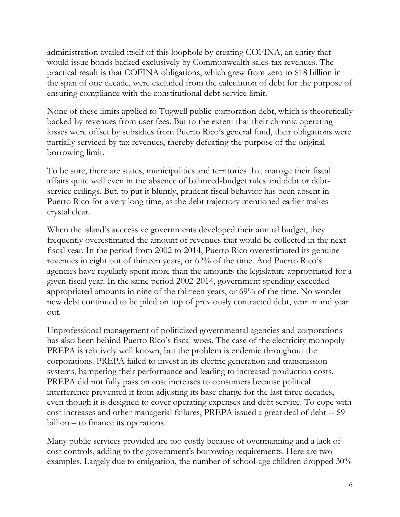administration availed itself of this loophole by creating COFINA, an entity that would issue bonds backed exclusively by Commonwealth sales-tax revenues. The practical result is that COFINA obligations, which grew from zero to \$18 billion in the span of one decade, were excluded from the calculation of debt for the purpose of ensuring compliance with the constitutional debt-service limit.

None of these limits applied to Tugwell public-corporation debt, which is theoretically backed by revenues from user fees. But to the extent that their chronic operating losses were offset by subsidies from Puerto Rico's general fund, their obligations were partially serviced by tax revenues, thereby defeating the purpose of the original borrowing limit.

To be sure, there are states, municipalities and territories that manage their fiscal affairs quite well even in the absence of balanced-budget rules and debt or debtservice ceilings. But, to put it bluntly, prudent fiscal behavior has been absent in Puerto Rico for a very long time, as the debt trajectory mentioned earlier makes crystal clear.

When the island's successive governments developed their annual budget, they frequently overestimated the amount of revenues that would be collected in the next fiscal year. In the period from 2002 to 2014, Puerto Rico overestimated its genuine revenues in eight out of thirteen years, or 62% of the time. And Puerto Rico's agencies have regularly spent more than the amounts the legislature appropriated for a given fiscal year. In the same period 2002-2014, government spending exceeded appropriated amounts in nine of the thirteen years, or 69% of the time. No wonder new debt continued to be piled on top of previously contracted debt, year in and year out.

Unprofessional management of politicized governmental agencies and corporations has also been behind Puerto Rico's fiscal woes. The case of the electricity monopoly PREPA is relatively well known, but the problem is endemic throughout the corporations. PREPA failed to invest in its electric generation and transmission systems, hampering their performance and leading to increased production costs. PREPA did not fully pass on cost increases to consumers because political interference prevented it from adjusting its base charge for the last three decades, even though it is designed to cover operating expenses and debt service. To cope with cost increases and other managerial failures, PREPA issued a great deal of debt -- \$9 billion – to finance its operations.

Many public services provided are too costly because of overmanning and a lack of cost controls, adding to the government's borrowing requirements. Here are two examples. Largely due to emigration, the number of school-age children dropped 30%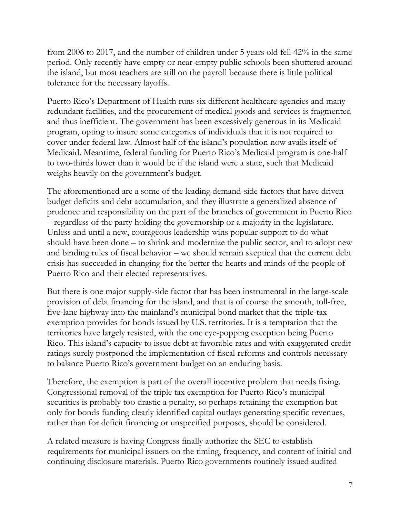from 2006 to 2017, and the number of children under 5 years old fell 42% in the same period. Only recently have empty or near-empty public schools been shuttered around the island, but most teachers are still on the payroll because there is little political tolerance for the necessary layoffs.

Puerto Rico's Department of Health runs six different healthcare agencies and many redundant facilities, and the procurement of medical goods and services is fragmented and thus inefficient. The government has been excessively generous in its Medicaid program, opting to insure some categories of individuals that it is not required to cover under federal law. Almost half of the island's population now avails itself of Medicaid. Meantime, federal funding for Puerto Rico's Medicaid program is one-half to two-thirds lower than it would be if the island were a state, such that Medicaid weighs heavily on the government's budget.

The aforementioned are a some of the leading demand-side factors that have driven budget deficits and debt accumulation, and they illustrate a generalized absence of prudence and responsibility on the part of the branches of government in Puerto Rico – regardless of the party holding the governorship or a majority in the legislature. Unless and until a new, courageous leadership wins popular support to do what should have been done – to shrink and modernize the public sector, and to adopt new and binding rules of fiscal behavior – we should remain skeptical that the current debt crisis has succeeded in changing for the better the hearts and minds of the people of Puerto Rico and their elected representatives.

But there is one major supply-side factor that has been instrumental in the large-scale provision of debt financing for the island, and that is of course the smooth, toll-free, five-lane highway into the mainland's municipal bond market that the triple-tax exemption provides for bonds issued by U.S. territories. It is a temptation that the territories have largely resisted, with the one eye-popping exception being Puerto Rico. This island's capacity to issue debt at favorable rates and with exaggerated credit ratings surely postponed the implementation of fiscal reforms and controls necessary to balance Puerto Rico's government budget on an enduring basis.

Therefore, the exemption is part of the overall incentive problem that needs fixing. Congressional removal of the triple tax exemption for Puerto Rico's municipal securities is probably too drastic a penalty, so perhaps retaining the exemption but only for bonds funding clearly identified capital outlays generating specific revenues, rather than for deficit financing or unspecified purposes, should be considered.

A related measure is having Congress finally authorize the SEC to establish requirements for municipal issuers on the timing, frequency, and content of initial and continuing disclosure materials. Puerto Rico governments routinely issued audited